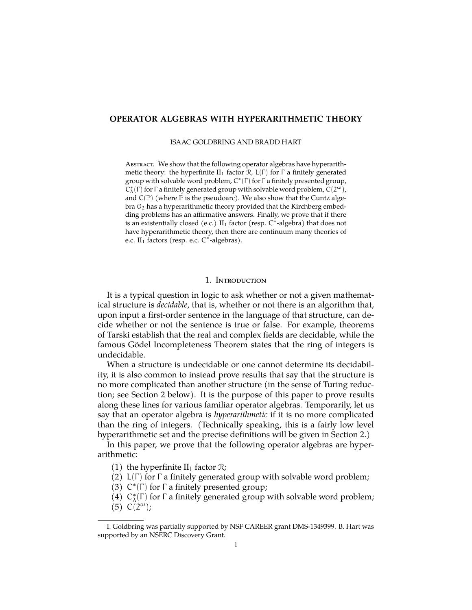# **OPERATOR ALGEBRAS WITH HYPERARITHMETIC THEORY**

ISAAC GOLDBRING AND BRADD HART

ABSTRACT. We show that the following operator algebras have hyperarithmetic theory: the hyperfinite  $II_1$  factor  $\mathcal{R}$ ,  $L(\Gamma)$  for  $\Gamma$  a finitely generated group with solvable word problem, C<sup>\*</sup>(Γ) for Γ a finitely presented group,  $\tilde{C}_{\lambda}^{*}(\Gamma)$  for  $\Gamma$  a finitely generated group with solvable word problem,  $\tilde{C}(2^{\omega})$ , and  $C(\mathbb{P})$  (where  $\mathbb P$  is the pseudoarc). We also show that the Cuntz algebra  $O<sub>2</sub>$  has a hyperarithmetic theory provided that the Kirchberg embedding problems has an affirmative answers. Finally, we prove that if there is an existentially closed (e.c.)  $II_1$  factor (resp.  $C^*$ -algebra) that does not have hyperarithmetic theory, then there are continuum many theories of e.c. II<sub>1</sub> factors (resp. e.c. C<sup>\*</sup>-algebras).

#### 1. Introduction

It is a typical question in logic to ask whether or not a given mathematical structure is *decidable*, that is, whether or not there is an algorithm that, upon input a first-order sentence in the language of that structure, can decide whether or not the sentence is true or false. For example, theorems of Tarski establish that the real and complex fields are decidable, while the famous Gödel Incompleteness Theorem states that the ring of integers is undecidable.

When a structure is undecidable or one cannot determine its decidability, it is also common to instead prove results that say that the structure is no more complicated than another structure (in the sense of Turing reduction; see Section 2 below). It is the purpose of this paper to prove results along these lines for various familiar operator algebras. Temporarily, let us say that an operator algebra is *hyperarithmetic* if it is no more complicated than the ring of integers. (Technically speaking, this is a fairly low level hyperarithmetic set and the precise definitions will be given in Section 2.)

In this paper, we prove that the following operator algebras are hyperarithmetic:

(1) the hyperfinite  $II_1$  factor  $\mathcal{R}$ ;

(2)  $L(\Gamma)$  for  $\Gamma$  a finitely generated group with solvable word problem;

(3)  $C^*(\Gamma)$  for  $\Gamma$  a finitely presented group;

(4)  $C_{\lambda}^{*}(\Gamma)$  for  $\Gamma$  a finitely generated group with solvable word problem; (5)  $C(2^{\omega})$ ;

I. Goldbring was partially supported by NSF CAREER grant DMS-1349399. B. Hart was supported by an NSERC Discovery Grant.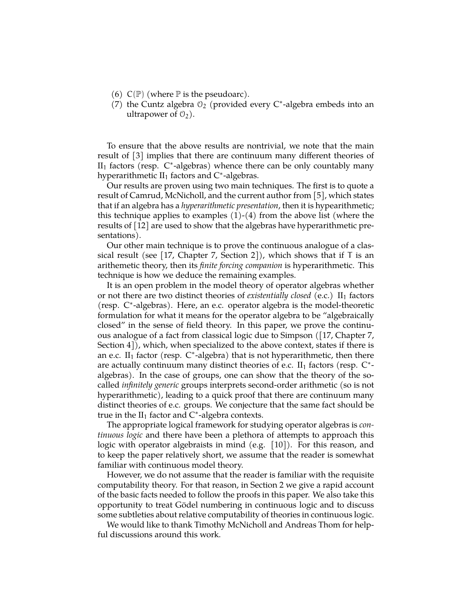- (6)  $C(\mathbb{P})$  (where  $\mathbb P$  is the pseudoarc).
- (7) the Cuntz algebra  $\mathcal{O}_2$  (provided every C<sup>\*</sup>-algebra embeds into an ultrapower of  $\mathcal{O}_2$ ).

To ensure that the above results are nontrivial, we note that the main result of [\[3\]](#page-16-0) implies that there are continuum many different theories of  $II<sub>1</sub>$  factors (resp. C\*-algebras) whence there can be only countably many hyperarithmetic  $II_1$  factors and  $C^*$ -algebras.

Our results are proven using two main techniques. The first is to quote a result of Camrud, McNicholl, and the current author from [\[5\]](#page-16-1), which states that if an algebra has a *hyperarithmetic presentation*, then it is hypearithmetic; this technique applies to examples  $(1)-(4)$  from the above list (where the results of [\[12\]](#page-16-2) are used to show that the algebras have hyperarithmetic presentations).

Our other main technique is to prove the continuous analogue of a clas-sical result (see [\[17,](#page-16-3) Chapter 7, Section 2]), which shows that if  $T$  is an arithemetic theory, then its *finite forcing companion* is hyperarithmetic. This technique is how we deduce the remaining examples.

It is an open problem in the model theory of operator algebras whether or not there are two distinct theories of *existentially closed* (e.c.)  $II_1$  factors (resp. C ∗ -algebras). Here, an e.c. operator algebra is the model-theoretic formulation for what it means for the operator algebra to be "algebraically closed" in the sense of field theory. In this paper, we prove the continuous analogue of a fact from classical logic due to Simpson ([\[17,](#page-16-3) Chapter 7, Section 4]), which, when specialized to the above context, states if there is an e.c.  $II_1$  factor (resp.  $C^*$ -algebra) that is not hyperarithmetic, then there are actually continuum many distinct theories of e.c.  $II_1$  factors (resp.  $C^*$ algebras). In the case of groups, one can show that the theory of the socalled *infinitely generic* groups interprets second-order arithmetic (so is not hyperarithmetic), leading to a quick proof that there are continuum many distinct theories of e.c. groups. We conjecture that the same fact should be true in the  $II_1$  factor and  $C^*$ -algebra contexts.

The appropriate logical framework for studying operator algebras is *continuous logic* and there have been a plethora of attempts to approach this logic with operator algebraists in mind (e.g. [\[10\]](#page-16-4)). For this reason, and to keep the paper relatively short, we assume that the reader is somewhat familiar with continuous model theory.

However, we do not assume that the reader is familiar with the requisite computability theory. For that reason, in Section 2 we give a rapid account of the basic facts needed to follow the proofs in this paper. We also take this opportunity to treat Gödel numbering in continuous logic and to discuss some subtleties about relative computability of theories in continuous logic.

We would like to thank Timothy McNicholl and Andreas Thom for helpful discussions around this work.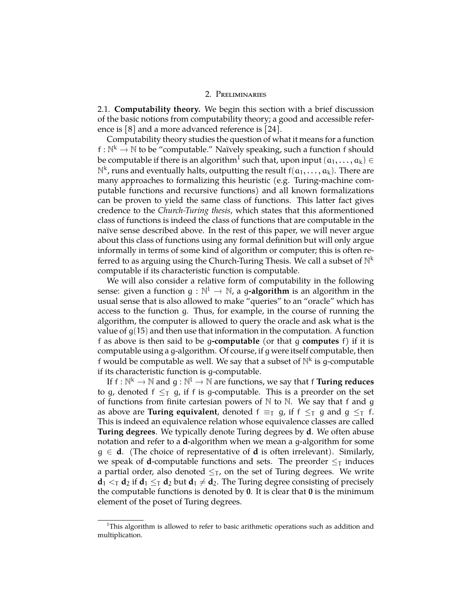# 2. Preliminaries

2.1. **Computability theory.** We begin this section with a brief discussion of the basic notions from computability theory; a good and accessible reference is [\[8\]](#page-16-5) and a more advanced reference is [\[24\]](#page-17-0).

Computability theory studies the question of what it means for a function f :  $\mathbb{N}^k \to \mathbb{N}$  to be "computable." Naïvely speaking, such a function f should be computable if there is an algorithm $^1$  $^1$  such that, upon input  $(\mathfrak{a}_1,\ldots,\mathfrak{a}_\mathsf{k})\in$  $\mathbb{N}^k$ , runs and eventually halts, outputting the result  $f(a_1, \ldots, a_k)$ . There are many approaches to formalizing this heuristic (e.g. Turing-machine computable functions and recursive functions) and all known formalizations can be proven to yield the same class of functions. This latter fact gives credence to the *Church-Turing thesis*, which states that this aformentioned class of functions is indeed the class of functions that are computable in the naïve sense described above. In the rest of this paper, we will never argue about this class of functions using any formal definition but will only argue informally in terms of some kind of algorithm or computer; this is often referred to as arguing using the Church-Turing Thesis. We call a subset of  $\mathbb{N}^k$ computable if its characteristic function is computable.

We will also consider a relative form of computability in the following sense: given a function  $g : \mathbb{N}^l \to \mathbb{N}$ , a g-**algorithm** is an algorithm in the usual sense that is also allowed to make "queries" to an "oracle" which has access to the function g. Thus, for example, in the course of running the algorithm, the computer is allowed to query the oracle and ask what is the value of  $g(15)$  and then use that information in the computation. A function f as above is then said to be g**-computable** (or that g **computes** f) if it is computable using a g-algorithm. Of course, if g were itself computable, then f would be computable as well. We say that a subset of  $\mathbb{N}^k$  is g-computable if its characteristic function is g-computable.

If  $f : \mathbb{N}^k \to \mathbb{N}$  and  $g : \mathbb{N}^l \to \mathbb{N}$  are functions, we say that f **Turing reduces** to q, denoted  $f \leq_T q$ , if f is g-computable. This is a preorder on the set of functions from finite cartesian powers of  $N$  to  $N$ . We say that f and g as above are **Turing equivalent**, denoted  $f \equiv_T q$ , if  $f \leq_T q$  and  $q \leq_T f$ . This is indeed an equivalence relation whose equivalence classes are called **Turing degrees**. We typically denote Turing degrees by **d**. We often abuse notation and refer to a **d**-algorithm when we mean a g-algorithm for some  $g \in \mathbf{d}$ . (The choice of representative of **d** is often irrelevant). Similarly, we speak of **d**-computable functions and sets. The preorder  $\leq_T$  induces a partial order, also denoted  $\leq_T$ , on the set of Turing degrees. We write  $d_1 <_{\text{T}} d_2$  if  $d_1 \leq_{\text{T}} d_2$  but  $d_1 \neq d_2$ . The Turing degree consisting of precisely the computable functions is denoted by **0**. It is clear that **0** is the minimum element of the poset of Turing degrees.

<span id="page-2-0"></span><sup>1</sup>This algorithm is allowed to refer to basic arithmetic operations such as addition and multiplication.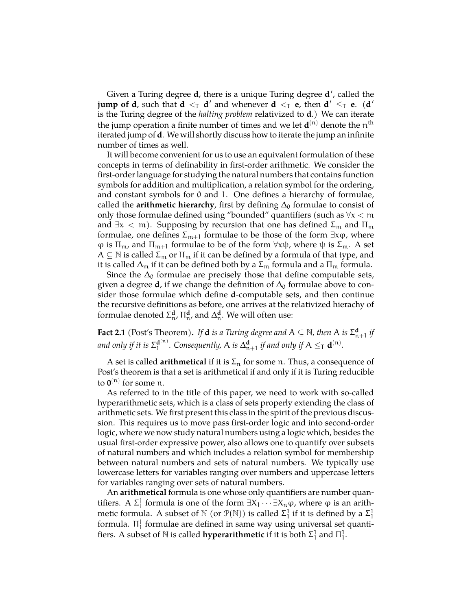Given a Turing degree **d**, there is a unique Turing degree **d**', called the **jump of d**, such that **d**  $\lt_{T}$  **d**' and whenever **d**  $\lt_{T}$  **e**, then **d**<sup>'</sup>  $\leq_T$  **e**. (**d**' is the Turing degree of the *halting problem* relativized to **d**.) We can iterate the jump operation a finite number of times and we let  $\mathbf{d}^{(\rm n)}$  denote the  $\mathfrak{n}^{\rm th}$ iterated jump of **d**. We will shortly discuss how to iterate the jump an infinite number of times as well.

It will become convenient for us to use an equivalent formulation of these concepts in terms of definability in first-order arithmetic. We consider the first-order language for studying the natural numbers that contains function symbols for addition and multiplication, a relation symbol for the ordering, and constant symbols for 0 and 1. One defines a hierarchy of formulae, called the **arithmetic hierarchy**, first by defining  $\Delta_0$  formulae to consist of only those formulae defined using "bounded" quantifiers (such as  $\forall x < m$ and  $\exists x < m$ ). Supposing by recursion that one has defined  $\Sigma_m$  and  $\Pi_m$ formulae, one defines  $\Sigma_{m+1}$  formulae to be those of the form  $\exists x \varphi$ , where  $\varphi$  is  $\Pi_{m}$ , and  $\Pi_{m+1}$  formulae to be of the form  $\forall x \psi$ , where  $\psi$  is  $\Sigma_m$ . A set  $A \subseteq \mathbb{N}$  is called  $\Sigma_{m}$  or  $\Pi_{m}$  if it can be defined by a formula of that type, and it is called  $\Delta_{m}$  if it can be defined both by a  $\Sigma_{m}$  formula and a  $\Pi_{m}$  formula.

Since the  $\Delta_0$  formulae are precisely those that define computable sets, given a degree **d**, if we change the definition of  $\Delta_0$  formulae above to consider those formulae which define **d**-computable sets, and then continue the recursive definitions as before, one arrives at the relativized hierachy of formulae denoted  $\Sigma_n^d$ ,  $\Pi_n^d$ , and  $\Delta_n^d$ . We will often use:

**Fact 2.1** (Post's Theorem). If **d** is a Turing degree and  $A \subseteq \mathbb{N}$ , then A is  $\sum_{n+1}^{d}$  if and only if it is  $\Sigma_1^{\mathbf{d}^{(n)}}$  $A_1^{d(n)}$ . Consequently, A is  $\Delta_{n+1}^d$  if and only if  $A \leq_{\text{T}} \mathbf{d}^{(n)}$ .

A set is called **arithmetical** if it is  $\Sigma_n$  for some n. Thus, a consequence of Post's theorem is that a set is arithmetical if and only if it is Turing reducible to  $\mathbf{0}^{(n)}$  for some n.

As referred to in the title of this paper, we need to work with so-called hyperarithmetic sets, which is a class of sets properly extending the class of arithmetic sets. We first present this class in the spirit of the previous discussion. This requires us to move pass first-order logic and into second-order logic, where we now study natural numbers using a logic which, besides the usual first-order expressive power, also allows one to quantify over subsets of natural numbers and which includes a relation symbol for membership between natural numbers and sets of natural numbers. We typically use lowercase letters for variables ranging over numbers and uppercase letters for variables ranging over sets of natural numbers.

An **arithmetical** formula is one whose only quantifiers are number quantifiers. A  $\Sigma_1^1$  formula is one of the form  $\exists X_1 \cdots \exists X_n \varphi$ , where  $\varphi$  is an arithmetic formula. A subset of  $\mathbb N$  (or  $\mathcal P(\mathbb N)$ ) is called  $\Sigma_1^1$  if it is defined by a  $\Sigma_1^1$ formula.  $\Pi_1^1$  formulae are defined in same way using universal set quantifiers. A subset of  $\mathbb N$  is called **hyperarithmetic** if it is both  $\Sigma_1^1$  and  $\Pi_1^1$ .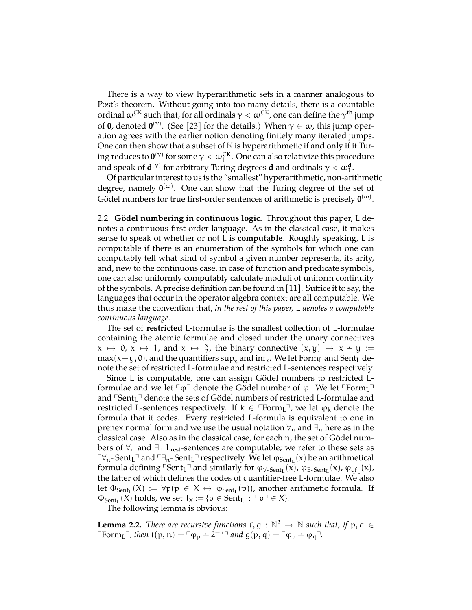There is a way to view hyperarithmetic sets in a manner analogous to Post's theorem. Without going into too many details, there is a countable ordinal  $\omega_1^{\text{CK}}$  such that, for all ordinals  $\gamma < \omega_1^{\text{CK}}$ , one can define the  $\gamma^{\text{th}}$  jump of **0**, denoted **0**<sup>( $\gamma$ )</sup>. (See [\[23\]](#page-17-1) for the details.) When  $\gamma \in \omega$ , this jump operation agrees with the earlier notion denoting finitely many iterated jumps. One can then show that a subset of  $N$  is hyperarithmetic if and only if it Turing reduces to  $\mathbf{0}^{(\gamma)}$  for some  $\gamma < \omega_1^{\text{CK}}$ . One can also relativize this procedure and speak of  $\mathbf{d}^{(\gamma)}$  for arbitrary Turing degrees  $\mathbf{d}$  and ordinals  $\gamma < \omega_1^{\mathbf{d}}$ .

Of particular interest to us is the "smallest" hyperarithmetic, non-arithmetic degree, namely  $0^{(\omega)}$ . One can show that the Turing degree of the set of Gödel numbers for true first-order sentences of arithmetic is precisely  $\mathbf{0}^{(\omega)}.$ 

2.2. **Gödel numbering in continuous logic.** Throughout this paper, L denotes a continuous first-order language. As in the classical case, it makes sense to speak of whether or not L is **computable**. Roughly speaking, L is computable if there is an enumeration of the symbols for which one can computably tell what kind of symbol a given number represents, its arity, and, new to the continuous case, in case of function and predicate symbols, one can also uniformly computably calculate moduli of uniform continuity of the symbols. A precise definition can be found in [\[11\]](#page-16-6). Suffice it to say, the languages that occur in the operator algebra context are all computable. We thus make the convention that, *in the rest of this paper,* L *denotes a computable continuous language*.

The set of **restricted** L-formulae is the smallest collection of L-formulae containing the atomic formulae and closed under the unary connectives  $x \mapsto 0$ ,  $x \mapsto 1$ , and  $x \mapsto \frac{x}{2}$ , the binary connective  $(x, y) \mapsto x - y :=$  $max(x-y, 0)$ , and the quantifiers  $sup_x$  and  $inf_x$ . We let Form<sub>L</sub> and Sent<sub>L</sub> denote the set of restricted L-formulae and restricted L-sentences respectively.

Since L is computable, one can assign Gödel numbers to restricted Lformulae and we let  $\lceil \phi \rceil$  denote the Gödel number of  $\phi$ . We let  $\lceil \text{Form}_L \rceil$ and  $\ulcorner \mathsf{Sent}_L \urcorner$  denote the sets of Gödel numbers of restricted L-formulae and restricted L-sentences respectively. If  $k \in \text{Form}_L$ , we let  $\varphi_k$  denote the formula that it codes. Every restricted L-formula is equivalent to one in prenex normal form and we use the usual notation  $\forall$ <sub>n</sub> and  $\exists$ <sub>n</sub> here as in the classical case. Also as in the classical case, for each n, the set of Gödel numbers of  $\forall$ n and  $\exists$ n L<sub>rest</sub>-sentences are computable; we refer to these sets as  $\ulcorner \forall_n$ - Sent<sub>L</sub> $\urcorner$  and  $\ulcorner \exists_n$ - Sent<sub>L</sub> $\urcorner$  respectively. We let φ<sub>Sent<sub>L</sub>(x) be an arithmetical</sub> formula defining  $\ulcorner \mathsf{Sent}_L \urcorner$  and similarly for  $\varphi_{\forall\text{-}Sent_L}(x)$ ,  $\varphi_{\exists\text{-}Sent_L}(x)$ ,  $\varphi_{qf_L}(x)$ , the latter of which defines the codes of quantifier-free L-formulae. We also let  $\Phi_{\text{Sent}_L}(X) := \forall p (p \in X \leftrightarrow \varphi_{\text{Sent}_L}(p))$ , another arithmetic formula. If  $\Phi_{\text{Sent}_L}(X)$  holds, we set  $T_X := \{\sigma \in \text{Sent}_L : \ulcorner \sigma \urcorner \in X\}.$ 

The following lemma is obvious:

<span id="page-4-0"></span>**Lemma 2.2.** *There are recursive functions*  $f, g : \mathbb{N}^2 \to \mathbb{N}$  *such that, if*  $p, q \in \mathbb{N}$  $\Box$ Form<sub>L</sub>, then  $f(p, n) = \Box \varphi_p - 2^{-n}$  and  $g(p, q) = \Box \varphi_p - \varphi_q$ .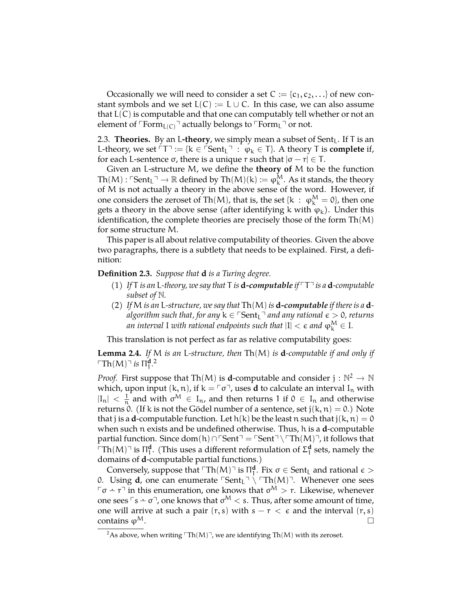Occasionally we will need to consider a set  $C := \{c_1, c_2, ...\}$  of new constant symbols and we set  $L(C) := L \cup C$ . In this case, we can also assume that  $L(C)$  is computable and that one can computably tell whether or not an element of  $\ulcorner \text{Form}_{L(C)} \urcorner$  actually belongs to  $\ulcorner \text{Form}_{L} \urcorner$  or not.

2.3. **Theories.** By an L-theory, we simply mean a subset of Sent<sub>L</sub>. If T is an L-theory, we set  $TT \coloneqq \{k \in \text{Sent}_{\text{L}} \mid : \varphi_k \in T\}$ . A theory T is **complete** if, for each L-sentence σ, there is a unique r such that  $|σ − r| ∈ T$ .

Given an L-structure M, we define the **theory of** M to be the function  $\text{Th}(M)$ :  $\text{Sent}_L \rightarrow \mathbb{R}$  defined by  $\text{Th}(M)(k) := \varphi_k^M$ . As it stands, the theory of M is not actually a theory in the above sense of the word. However, if one considers the zeroset of Th(M), that is, the set { $k : \varphi_k^M = 0$ }, then one gets a theory in the above sense (after identifying k with  $\varphi_k$ ). Under this identification, the complete theories are precisely those of the form  $Th(M)$ for some structure M.

This paper is all about relative computability of theories. Given the above two paragraphs, there is a subtlety that needs to be explained. First, a definition:

**Definition 2.3.** *Suppose that* **d** *is a Turing degree.*

- (1) If T *is an* L-theory, we say that T *is* **d-computable** if  $\ulcorner$  T $\urcorner$  *is a* **d**-computable *subset of* N*.*
- (2) *If* M *is an* L*-structure, we say that* Th(M)*is* **d***-computable if there is a* **d***algorithm such that, for any*  $k \in \text{Sent}_{L}$ <sup> $\lceil$ </sup> *and any rational*  $\epsilon > 0$ *, returns* an interval I with rational endpoints such that  $|{\rm I}|<\epsilon$  and  $\phi_{\rm k}^{\rm M}\in {\rm I}.$

This translation is not perfect as far as relative computability goes:

**Lemma 2.4.** *If* M *is an* L*-structure, then* Th(M) *is* **d***-computable if and only if*  $\ulcorner$ Th $(M)$ <sup> $\urcorner$ </sup> is  $\overline{\Pi}^{\mathbf{d},2}_{1}$  $\overline{\Pi}^{\mathbf{d},2}_{1}$  $\overline{\Pi}^{\mathbf{d},2}_{1}$ 

*Proof.* First suppose that Th(M) is **d**-computable and consider  $j : \mathbb{N}^2 \to \mathbb{N}$ which, upon input  $(k, n)$ , if  $k = \lceil \sigma \rceil$ , uses **d** to calculate an interval I<sub>n</sub> with  $|I_n| < \frac{1}{n}$  $\frac{1}{n}$  and with  $\sigma^M \in I_n$ , and then returns 1 if  $0 \in I_n$  and otherwise returns 0. (If k is not the Gödel number of a sentence, set  $j(k, n) = 0$ .) Note that j is a **d**-computable function. Let  $h(k)$  be the least n such that  $j(k, n) = 0$ when such n exists and be undefined otherwise. Thus, h is a **d**-computable partial function. Since dom(h)∩ $\ulcorner$ Sent $\urcorner$  =  $\ulcorner$ Sent $\urcorner$  \  $\ulcorner$ Th(M) $\urcorner$ , it follows that  $\Gamma$ Th(M)<sup> $\top$ </sup> is  $\Pi_1^d$ . (This uses a different reformulation of  $\Sigma_1^d$  sets, namely the domains of **d**-computable partial functions.)

Conversely, suppose that  $\ulcorner \text{Th}(M) \urcorner$  is  $\Pi_1^d$ . Fix  $\sigma \in \text{Sent}_L$  and rational  $\varepsilon >$ 0. Using **d**, one can enumerate  $\text{Sent}_{L} \uparrow \text{Th}(M)$ <sup> $\uparrow$ </sup>. Whenever one sees  $\sigma$  –  $r^{\dagger}$  in this enumeration, one knows that  $\sigma^{\hat{M}} > r$ . Likewise, whenever one sees  $\sqrt{s}$  → σ $\sqrt{q}$ , one knows that σ<sup>M</sup> < s. Thus, after some amount of time, one will arrive at such a pair  $(r, s)$  with  $s - r < \epsilon$  and the interval  $(r, s)$ contains  $\varphi^M$ .  $\Box$ 

<span id="page-5-0"></span><sup>&</sup>lt;sup>2</sup>As above, when writing  $\ulcorner Th(M)\urcorner$ , we are identifying Th(M) with its zeroset.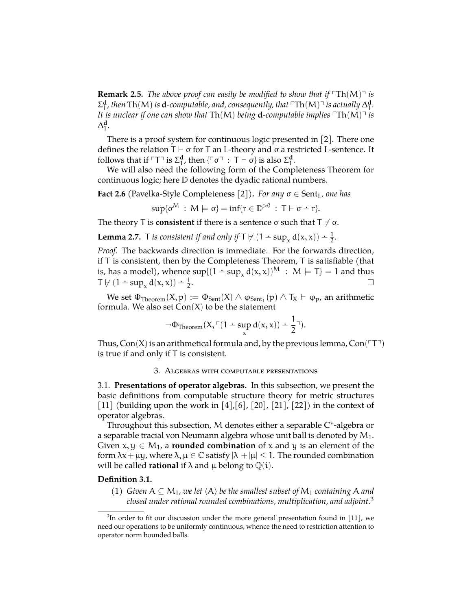**Remark 2.5.** *The above proof can easily be modified to show that if*  $\Gamma$ Th(M) $\Gamma$  *is*  $\Sigma_1^d$ , then Th(M) is **d**-computable, and, consequently, that  $\ulcorner Th(M) \urcorner$  is actually  $\Delta_1^d$ . *It is unclear if one can show that*  $Th(M)$  *being* **d**-computable *implies*  $Th(M)$ <sup> $\exists$ </sup> *is*  $\Delta_1^{\mathbf{d}}$ .

There is a proof system for continuous logic presented in [\[2\]](#page-16-7). There one defines the relation  $T \vdash \sigma$  for T an L-theory and  $\sigma$  a restricted L-sentence. It follows that if  $TT^{\dagger}$  is  $\Sigma_1^d$ , then  $\{T\sigma^{\dagger} : T \vdash \sigma\}$  is also  $\Sigma_1^d$ .

We will also need the following form of the Completeness Theorem for continuous logic; here D denotes the dyadic rational numbers.

**Fact 2.6** (Pavelka-Style Completeness [\[2\]](#page-16-7)). *For any* σ ∈ Sent<sub>L</sub>, one has

$$
sup\{\sigma^M\,:\,M\models\sigma\}=inf\{r\in\mathbb{D}^{>0}\,:\,T\models\sigma+r\}.
$$

The theory T is **consistent** if there is a sentence  $\sigma$  such that  $T \not\vdash \sigma$ .

**Lemma 2.7.** T *is consistent if and only if*  $T \nvdash (1 - \sup_x d(x, x)) - \frac{1}{2}$ *.* 

*Proof.* The backwards direction is immediate. For the forwards direction, if T is consistent, then by the Completeness Theorem, T is satisfiable (that is, has a model), whence  $\sup\{(1 - \sup_x d(x, x))^M : M \models T\} = 1$  and thus T  $\forall$  (1  $\div$  sup<sub>x</sub> d(x, x))  $\div \frac{1}{2}$ .

We set  $\Phi_{\rm Theorem} (X,p) := \Phi_{\rm Sent} (X) \wedge \phi_{\rm Sent_L}(p) \wedge T_X \vdash \phi_p$ , an arithmetic formula. We also set  $Con(X)$  to be the statement

$$
\neg \Phi_{\text{Theorem}}(X, \ulcorner (1 - \sup_{x} d(x, x)) \div \frac{1}{2} \urcorner).
$$

Thus, Con(X) is an arithmetical formula and, by the previous lemma, Con( $TT$ ) is true if and only if T is consistent.

### 3. Algebras with computable presentations

3.1. **Presentations of operator algebras.** In this subsection, we present the basic definitions from computable structure theory for metric structures [\[11\]](#page-16-6) (building upon the work in [\[4\]](#page-16-8), [\[6\]](#page-16-9), [\[20\]](#page-17-2), [\[21\]](#page-17-3), [\[22\]](#page-17-4)) in the context of operator algebras.

Throughout this subsection, M denotes either a separable C\*-algebra or a separable tracial von Neumann algebra whose unit ball is denoted by  $M_1$ . Given  $x, y \in M_1$ , a **rounded combination** of x and y is an element of the form  $\lambda x + \mu y$ , where  $\lambda, \mu \in \mathbb{C}$  satisfy  $|\lambda| + |\mu| \leq 1$ . The rounded combination will be called **rational** if  $\lambda$  and  $\mu$  belong to  $\mathbb{Q}(i)$ .

#### **Definition 3.1.**

(1) *Given*  $A \subseteq M_1$ *, we let*  $\langle A \rangle$  *be the smallest subset of*  $M_1$  *containing* A *and closed under rational rounded combinations, multiplication, and adjoint.*[3](#page-6-0)

<span id="page-6-0"></span> $3$ In order to fit our discussion under the more general presentation found in [\[11\]](#page-16-6), we need our operations to be uniformly continuous, whence the need to restriction attention to operator norm bounded balls.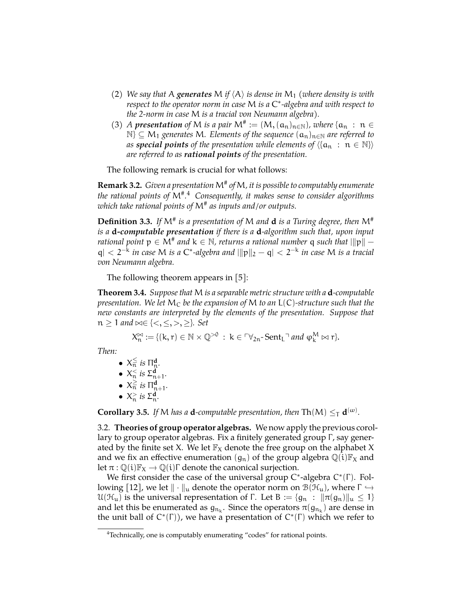- (2) *We say that* A *generates* M *if*  $\langle A \rangle$  *is dense in* M<sub>1</sub> (*where density is with respect to the operator norm in case* M *is a* C ∗ *-algebra and with respect to the 2-norm in case* M *is a tracial von Neumann algebra).*
- (3) *A presentation* of M *is a pair*  $M^{\#} := (M, (a_n)_{n \in \mathbb{N}})$ *, where*  $\{a_n : n \in \mathbb{N}\}$  $\mathbb{N}$  ⊆  $M_1$  *generates* M. Elements of the sequence  $(a_n)_{n \in \mathbb{N}}$  are referred to *as special points of the presentation while elements of*  $\langle \{a_n : n \in \mathbb{N}\}\rangle$ *are referred to as rational points of the presentation.*

The following remark is crucial for what follows:

**Remark 3.2.** *Given a presentation*M# *of*M*, it is possible to computably enumerate the rational points of* M# *.* [4](#page-7-0) *Consequently, it makes sense to consider algorithms which take rational points of* M# *as inputs and/or outputs.*

**Definition 3.3.** If  $M^*$  is a presentation of M and **d** is a Turing degree, then  $M^*$ *is a* **d***-computable presentation if there is a* **d***-algorithm such that, upon input rational point*  $p \in M^*$  and  $k \in \mathbb{N}$ , returns a rational number  $q$  such that  $\|p\|$ q| < 2−<sup>k</sup> *in case* M *is a* C ∗ *-algebra and* |kpk<sup>2</sup> − q| < 2−<sup>k</sup> *in case* M *is a tracial von Neumann algebra.*

The following theorem appears in [\[5\]](#page-16-1):

<span id="page-7-2"></span>**Theorem 3.4.** *Suppose that* M *is a separable metric structure with a* **d***-computable presentation. We let* M<sup>C</sup> *be the expansion of* M *to an* L(C)*-structure such that the new constants are interpreted by the elements of the presentation. Suppose that*  $n \geq 1$  *and*  $\bowtie \in \{<, \leq, >, \geq\}$ *. Set* 

$$
X_n^{\bowtie}:=\{(k,r)\in \mathbb{N}\times \mathbb{Q}^{>0}\;:\; k\in \ulcorner \forall_{2n}\text{-}\mathop{Sent}_L\urcorner \text{ and } \phi_k^M\bowtie r\}.
$$

*Then:*

\n- $$
X_n^{\leq}
$$
 is  $\Pi_n^d$ .
\n- $X_n^{\leq}$  is  $\Sigma_{n+1}^d$ .
\n- $X_n^{\geq}$  is  $\Pi_{n+1}^d$ .
\n- $X_n^{\geq}$  is  $\Sigma_n^d$ .
\n

<span id="page-7-1"></span>**Corollary 3.5.** *If* M *has a* **d**-computable presentation, then  $\text{Th}(M) \leq_T \mathbf{d}^{(\omega)}$ .

3.2. **Theories of group operator algebras.** We now apply the previous corollary to group operator algebras. Fix a finitely generated group Γ, say generated by the finite set X. We let  $\mathbb{F}_X$  denote the free group on the alphabet X and we fix an effective enumeration  $(q_n)$  of the group algebra  $\mathbb{Q}(i)\mathbb{F}_X$  and let  $\pi : \mathbb{Q}(i)\mathbb{F}_X \to \mathbb{Q}(i)\Gamma$  denote the canonical surjection.

We first consider the case of the universal group  $C^*$ -algebra  $C^*(\Gamma)$ . Fol-lowing [\[12\]](#page-16-2), we let  $\|\cdot\|_u$  denote the operator norm on  $\mathcal{B}(\mathcal{H}_u)$ , where  $\Gamma \hookrightarrow$  $\mathfrak{U}(\mathcal{H}_u)$  is the universal representation of Γ. Let Β := {g<sub>n</sub> :  $||\pi(g_n)||_u$  ≤ 1} and let this be enumerated as  $g_{n_k}$ . Since the operators  $\pi(g_{n_k})$  are dense in the unit ball of  $C^*(\Gamma)$ ), we have a presentation of  $C^*(\Gamma)$  which we refer to

<span id="page-7-0"></span><sup>&</sup>lt;sup>4</sup>Technically, one is computably enumerating "codes" for rational points.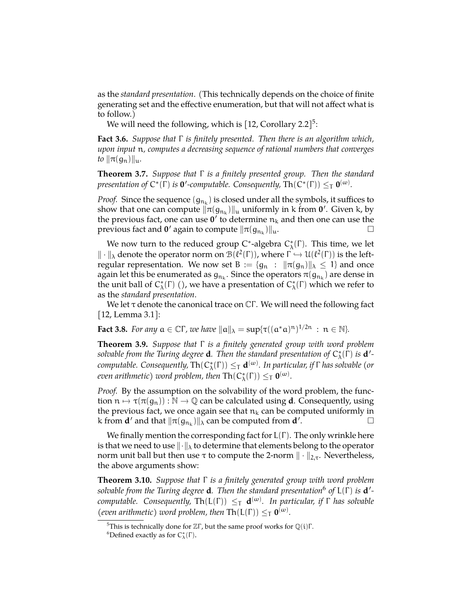as the *standard presentation*. (This technically depends on the choice of finite generating set and the effective enumeration, but that will not affect what is to follow.)

We will need the following, which is  $[12,$  Corollary 2.2]<sup>[5](#page-8-0)</sup>:

**Fact 3.6.** *Suppose that* Γ *is finitely presented. Then there is an algorithm which, upon input* n*, computes a decreasing sequence of rational numbers that converges to*  $\|\pi(g_n)\|_u$ .

**Theorem 3.7.** *Suppose that* Γ *is a finitely presented group. Then the standard presentation of*  $C^*(\Gamma)$  *is*  $\mathbf{0}'$ -computable. Consequently,  $\text{Th}(C^*(\Gamma)) \leq_{\Gamma} \mathbf{0}^{(\omega)}.$ 

*Proof.* Since the sequence  $(g_{n_k})$  is closed under all the symbols, it suffices to show that one can compute  $\|\pi(g_{n_k})\|_u$  uniformly in k from  $\mathbf{0}'$ . Given k, by the previous fact, one can use  $0'$  to determine  $n_k$  and then one can use the previous fact and  $\mathbf{0}'$  again to compute  $\|\pi( g_{n_k} )\|$ )  $\|u\|$ 

We now turn to the reduced group C<sup>\*</sup>-algebra  $C^*_{\lambda}(\Gamma)$ . This time, we let  $\|\cdot\|_{\lambda}$  denote the operator norm on  $\mathcal{B}(\ell^2(\Gamma))$ , where  $\Gamma \hookrightarrow \mathcal{U}(\ell^2(\Gamma))$  is the left-<br>meaning approachation. Me next set  $R$ .  $\left[\mathcal{E}(\mathcal{E}^{\perp})\right]_{\mathcal{E}}$  and  $\Gamma$  and approximately regular representation. We now set B :=  $\{g_n : ||\pi(g_n)||_{\lambda} \leq 1\}$  and once again let this be enumerated as  $g_{n_k}.$  Since the operators  $\pi(g_{n_k})$  are dense in the unit ball of  $C^*_{\lambda}(\Gamma)$  (), we have a presentation of  $C^*_{\lambda}(\Gamma)$  which we refer to as the *standard presentation*.

We let τ denote the canonical trace on CΓ . We will need the following fact [\[12,](#page-16-2) Lemma 3.1]:

**Fact 3.8.** *For any*  $a \in \mathbb{C}\Gamma$ , *we have*  $||a||_{\lambda} = \sup\{\tau((a^*a)^n)^{1/2n} : n \in \mathbb{N}\}.$ 

**Theorem 3.9.** *Suppose that* Γ *is a finitely generated group with word problem* solvable from the Turing degree **d**. Then the standard presentation of  $C^*_\lambda(\Gamma)$  is **d'**- $\epsilon$ *computable. Consequently,*  $\text{Th}(C^*_\lambda(\Gamma)) \leq_\text{T} \textbf{d}^{(\omega)}.$  *In particular, if*  $\Gamma$  *has solvable (or even arithmetic) word problem, then*  $\text{Th}(C^*_\lambda(\Gamma)) \leq_\Gamma \mathbf{0}^{(\omega)}.$ 

*Proof.* By the assumption on the solvability of the word problem, the function  $n \mapsto \tau(\pi(g_n)) : \mathbb{N} \to \mathbb{Q}$  can be calculated using **d**. Consequently, using the previous fact, we once again see that  $n_k$  can be computed uniformly in k from **d**' and that  $\|\pi(g_{n_k})\|$ <sub> $\lambda$ </sub> can be computed from **d**'  $\begin{array}{ccc} \cdot & \cdot & \cdot \\ \cdot & \cdot & \end{array}$ 

We finally mention the corresponding fact for L(Γ ). The only wrinkle here is that we need to use  $\|\cdot\|_{\lambda}$  to determine that elements belong to the operator norm unit ball but then use τ to compute the 2-norm  $\|\cdot\|_{2,\tau}$ . Nevertheless, the above arguments show:

**Theorem 3.10.** *Suppose that* Γ *is a finitely generated group with word problem solvable from the Turing degree* **d***. Then the standard presentation*[6](#page-8-1) *of* L(Γ ) *is* **d** 0  *computable. Consequently,* Th(L(Γ )) ≤<sup>T</sup> **d** (ω) *. In particular, if* Γ *has solvable (even arithmetic)* word problem, then  $\text{Th}(L(\Gamma)) \leq_{\Gamma} \mathbf{0}^{(\omega)}$ .

<span id="page-8-0"></span><sup>&</sup>lt;sup>5</sup>This is technically done for  $\mathbb{Z}\Gamma$ , but the same proof works for  $\mathbb{O}(i)\Gamma$ .

<span id="page-8-1"></span><sup>&</sup>lt;sup>6</sup>Defined exactly as for  $C^*_{\lambda}(\Gamma)$ .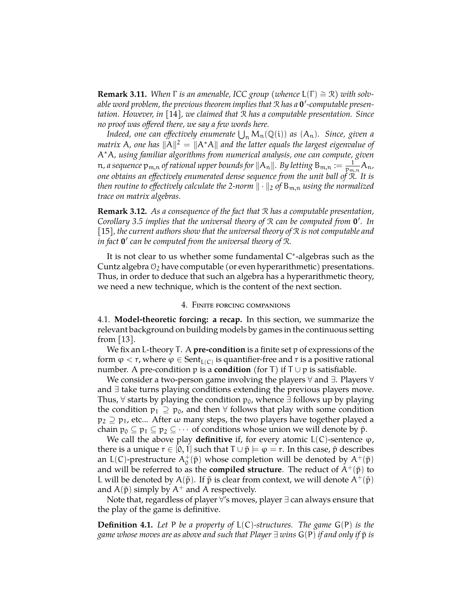**Remark 3.11.** When  $\Gamma$  *is an amenable, ICC group (whence*  $L(\Gamma) \cong \mathbb{R}$ ) with solv*able word problem, the previous theorem implies that* R *has a* **0** 0 *-computable presentation. However, in* [\[14\]](#page-16-10)*, we claimed that* R *has a computable presentation. Since no proof was offered there, we say a few words here.*

Indeed, one can effectively enumerate  $\bigcup_n \mathsf{M}_n({\mathbb Q}(\mathfrak{i}))$  as  $(\mathsf{A}_n)$ . Since, given a  $m$ atrix A, one has  $\|{\sf A}\|^2 = \|{\sf A}^*{\sf A}\|$  and the latter equals the largest eigenvalue of A∗A*, using familiar algorithms from numerical analysis, one can compute, given*  $n$ , a sequence  $\mathfrak{p}_{\mathfrak{m},\mathfrak{n}}$  of rational upper bounds for  $\| \mathsf{A}_{\mathfrak{n}} \|$ . By letting  $\mathrm{B}_{\mathfrak{m},\mathfrak{n}} := \frac{1}{\mathfrak{p}_{\mathfrak{m},\mathfrak{n}}} \mathsf{A}_{\mathfrak{n},\mathfrak{n}}$ *one obtains an effectively enumerated dense sequence from the unit ball of* R*. It is then routine to effectively calculate the 2-norm*  $\|\cdot\|_2$  *of*  $B_{m,n}$  *using the normalized trace on matrix algebras.*

**Remark 3.12.** *As a consequence of the fact that* R *has a computable presentation, Corollary [3.5](#page-7-1) implies that the universal theory of* R *can be computed from* **0** 0 *. In* [\[15\]](#page-16-11)*, the current authors show that the universal theory of* R *is not computable and in fact* **0** 0 *can be computed from the universal theory of* R*.*

It is not clear to us whether some fundamental C<sup>\*</sup>-algebras such as the Cuntz algebra  $O_2$  have computable (or even hyperarithmetic) presentations. Thus, in order to deduce that such an algebra has a hyperarithmetic theory, we need a new technique, which is the content of the next section.

### 4. Finite forcing companions

4.1. **Model-theoretic forcing: a recap.** In this section, we summarize the relevant background on building models by games in the continuous setting from [\[13\]](#page-16-12).

We fix an L-theory T. A **pre-condition** is a finite set p of expressions of the form  $\varphi < r$ , where  $\varphi \in \text{Sent}_{L(C)}$  is quantifier-free and r is a positive rational number. A pre-condition p is a **condition** (for T) if  $T \cup p$  is satisfiable.

We consider a two-person game involving the players ∀ and ∃. Players ∀ and ∃ take turns playing conditions extending the previous players move. Thus,  $\forall$  starts by playing the condition  $p_0$ , whence ∃ follows up by playing the condition  $p_1 \supseteq p_0$ , and then  $\forall$  follows that play with some condition  $p_2 \supseteq p_1$ , etc... After  $\omega$  many steps, the two players have together played a chain  $p_0 \subseteq p_1 \subseteq p_2 \subseteq \cdots$  of conditions whose union we will denote by  $\bar{p}$ .

We call the above play **definitive** if, for every atomic L(C)-sentence *φ*, there is a unique  $r \in [0, 1]$  such that  $T \cup \bar{p} \models \varphi = r$ . In this case,  $\bar{p}$  describes an L(C)-prestructure  $A_0^+(\bar{p})$  whose completion will be denoted by  $A^+(\bar{p})$ and will be referred to as the **compiled structure**. The reduct of  $A^+(\bar{p})$  to L will be denoted by  $A(\bar{p})$ . If  $\bar{p}$  is clear from context, we will denote  $A^+(\bar{p})$ and  $A(\bar{p})$  simply by  $A^+$  and A respectively.

Note that, regardless of player ∀'s moves, player ∃ can always ensure that the play of the game is definitive.

**Definition 4.1.** *Let* P *be a property of* L(C)*-structures. The game* G(P) *is the game whose moves are as above and such that Player*  $\exists$  *wins*  $G(P)$  *if and only if*  $\bar{p}$  *is*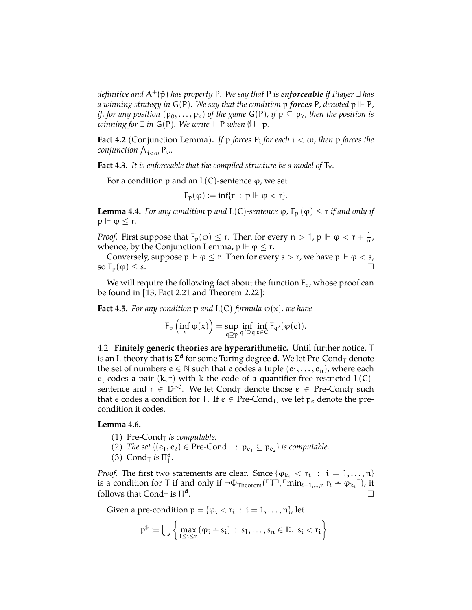*definitive and*  $A^+(\bar{p})$  *has property* P. We say that P *is enforceable if Player*  $\exists$  *has a* winning strategy in  $G(P)$ . We say that the condition p forces P, denoted p  $\vdash P$ , *if, for any position*  $(p_0, \ldots, p_k)$  *of the game*  $G(P)$ *, if*  $p \subseteq p_k$ *, then the position is winning for*  $\exists$  *in*  $G(P)$ *. We write*  $\Vdash P$  *when*  $\emptyset \Vdash p$ *.* 

**Fact 4.2** (Conjunction Lemma)**.** *If* p *forces* P<sup>i</sup> *for each* i < ω*, then* p *forces the conjunction*  $\bigwedge_{\mathfrak{i}<\omega} \mathsf{P}_{\mathfrak{i}}$ *..* 

**Fact 4.3.** *It is enforceable that the compiled structure be a model of*  $T_{\forall}$ *.* 

For a condition p and an  $L(C)$ -sentence  $\varphi$ , we set

 $F_p(\varphi) := \inf\{r : p \Vdash \varphi < r\}.$ 

**Lemma 4.4.** *For any condition*  $p$  *and*  $L(C)$ *-sentence*  $\varphi$ *,*  $F_p(\varphi) \leq r$  *if and only if*  $p \Vdash \varphi \leq r$ .

*Proof.* First suppose that  $F_p(\varphi) \le r$ . Then for every  $n > 1$ ,  $p \Vdash \varphi < r + \frac{1}{n}$  $\frac{1}{n}$ , whence, by the Conjunction Lemma,  $p \Vdash \varphi \leq r$ .

Conversely, suppose  $p \Vdash \varphi \leq r$ . Then for every  $s > r$ , we have  $p \Vdash \varphi < s$ , so  $F_p(\varphi) \leq s$ .

We will require the following fact about the function  $F_p$ , whose proof can be found in [\[13,](#page-16-12) Fact 2.21 and Theorem 2.22]:

**Fact 4.5.** *For any condition*  $p$  *and*  $L(C)$ *-formula*  $\varphi(x)$ *, we have* 

$$
F_p\left(\inf_x \phi(x)\right) = \sup_{q \supseteq p} \inf_{q' \supseteq q} \inf_{c \in C} F_{q'}(\phi(c)).
$$

4.2. **Finitely generic theories are hyperarithmetic.** Until further notice, T is an L-theory that is  $\Sigma^{\mathsf{d}}_1$  for some Turing degree **d**. We let  $\text{Pre-Cond}_\text{T}$  denote the set of numbers  $e \in \mathbb{N}$  such that e codes a tuple  $(e_1, \ldots, e_n)$ , where each  $e_i$  codes a pair  $(k, r)$  with k the code of a quantifier-free restricted  $L(C)$ sentence and  $r \in \mathbb{D}^{>0}$ . We let Cond<sub>T</sub> denote those  $e \in Pre\text{-}Cond_T$  such that e codes a condition for T. If  $e \in Pre\text{-}\text{Cond}_T$ , we let  $p_e$  denote the precondition it codes.

#### **Lemma 4.6.**

- $(1)$  Pre-Cond<sub>T</sub> is computable.
- (2) *The set*  $\{(e_1, e_2) \in Pre-Cond_T : p_{e_1} \subseteq p_{e_2}\}$  *is computable.*
- (3) Cond<sub>T</sub> is  $\Pi_1^d$ .

*Proof.* The first two statements are clear. Since  $\{\varphi_{k_i} < r_i : i = 1, \ldots, n\}$ is a condition for T if and only if  $\neg \Phi_{Theorem}(\ulcorner T \urcorner, \ulcorner min_{i=1,\ldots,n} r_i \div \varphi_{k_i} \urcorner)$ , it follows that Cond<sub>T</sub> is  $\Pi^{\mathbf{d}}_1$ .

Given a pre-condition  $p = \{ \varphi_i < r_i : i = 1, \ldots, n \}$ , let

$$
p^\$:=\bigcup\left\{\max_{1\leq i\leq n}\left(\phi_i-s_i\right)\ :\ s_1,\ldots,s_n\in\mathbb{D},\ s_i
$$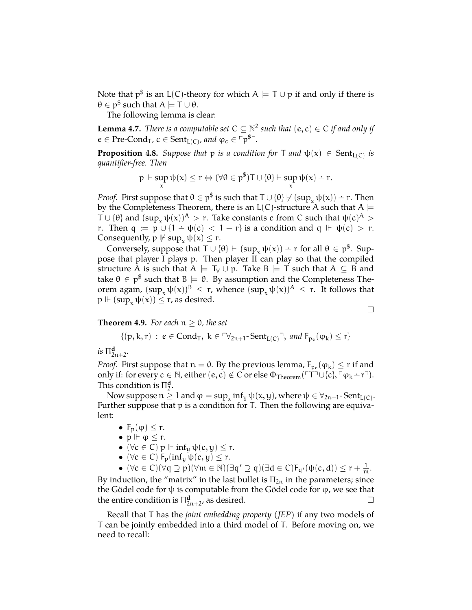Note that  $\mathfrak{p}^{\$}$  is an <code>L(C)-theory</code> for which  $\mathsf{A}\models \mathsf{T}\cup \mathfrak{p}$  if and only if there is  $\theta \in \mathfrak{p}^{\$}$  such that  $\mathsf{A}\models \mathsf{T}\cup \theta.$ 

The following lemma is clear:

**Lemma 4.7.** *There is a computable set*  $C \subseteq \mathbb{N}^2$  *such that*  $(e, c) \in C$  *if and only if*  $e \in Pre\text{-}Cond_T, c \in Sent_{L(C)}$ , and  $\varphi_c \in \ulcorner p^{\$ \urcorner}.$ 

**Proposition 4.8.** *Suppose that*  $p$  *is a condition for* T *and*  $\psi(x) \in$  *Sent*<sub>L(C)</sub> *is quantifier-free. Then*

$$
p \Vdash \sup_{x} \psi(x) \leq r \Leftrightarrow (\forall \theta \in p^{\$})T \cup \{\theta\} \vdash \sup_{x} \psi(x) - r.
$$

*Proof.* First suppose that  $\theta \in p^{\$}$  is such that  $T \cup {\theta}$   $\nvdash (sup_x \psi(x)) - r$ . Then by the Completeness Theorem, there is an  $L(C)$ -structure A such that  $A \models$  $T \cup {\theta}$  and  $(\sup_x \psi(x))^A > r$ . Take constants c from C such that  $\psi(c)^A > r$ r. Then  $q := p \cup \{1 - \psi(c) < 1 - r\}$  is a condition and  $q \Vdash \psi(c) > r$ . Consequently,  $p \not\vdash \sup_x \psi(x) \leq r$ .

Conversely, suppose that  $T \cup \{\theta\} \vdash (sup_x \psi(x)) - r$  for all  $\theta \in p^{\$}$ . Suppose that player I plays p. Then player II can play so that the compiled structure A is such that  $A \models T_\forall \cup p$ . Take  $B \models T$  such that  $A \subseteq B$  and take  $\theta \in \mathfrak{p}^{\$}$  such that  $B \models \theta$ . By assumption and the Completeness Theorem again,  $(\sup_{x} \psi(x))^B \leq r$ , whence  $(\sup_{x} \psi(x))^A \leq r$ . It follows that  $p \Vdash (sup_x \psi(x)) \leq r$ , as desired.

**Theorem 4.9.** *For each*  $n \geq 0$ *, the set* 

$$
\{(p, k, r) : e \in Cond_T, k \in \ulcorner \forall_{2n+1} \text{-Sent}_{L(C)} \urcorner, \text{ and } F_{p_e}(\varphi_k) \leq r\}
$$

 $i$ *s*  $\Pi^{\mathbf{d}}_{2n+2}$ .

*Proof.* First suppose that  $n = 0$ . By the previous lemma,  $F_{p_e}(\varphi_k) \le r$  if and only if: for every  $c \in \mathbb{N}$ , either  $(e, c) \notin C$  or else  $\Phi_{Theorem}(\ulcorner \ulcorner \ulcorner \ulcorner \ulcorner \ulcorner \cup \lbrace c \rbrace, \ulcorner \varphi_k - r \urcorner).$ This condition is  $\Pi^{\mathbf{d}}_2$ .

Now suppose  $n \geq 1$  and  $\varphi = \sup_x \inf_y \psi(x, y)$ , where  $\psi \in \forall_{2n-1}$ - $\text{Sent}_{L(C)}$ . Further suppose that p is a condition for T. Then the following are equivalent:

- $F_p(\varphi) \leq r$ .
- $p \Vdash \varphi \leq r$ .
- $(\forall c \in C)$   $p \Vdash \inf_{y} \psi(c, y) \leq r$ .
- ( $\forall c \in C$ )  $F_p(int_u \psi(c, y) \leq r$ .
- $(\forall c \in C)(\forall q \supseteq p)(\forall m \in \mathbb{N})(\exists q' \supseteq q)(\exists d \in C)F_{q'}(\psi(c, d)) \leq r + \frac{1}{m}$  $\frac{1}{m}$ .

By induction, the "matrix" in the last bullet is  $\Pi_{2n}$  in the parameters; since the Gödel code for  $\psi$  is computable from the Gödel code for  $\varphi$ , we see that the entire condition is  $\Pi_{2n+2}^d$ , as desired.

Recall that T has the *joint embedding property (JEP)* if any two models of T can be jointly embedded into a third model of T. Before moving on, we need to recall:

 $\Box$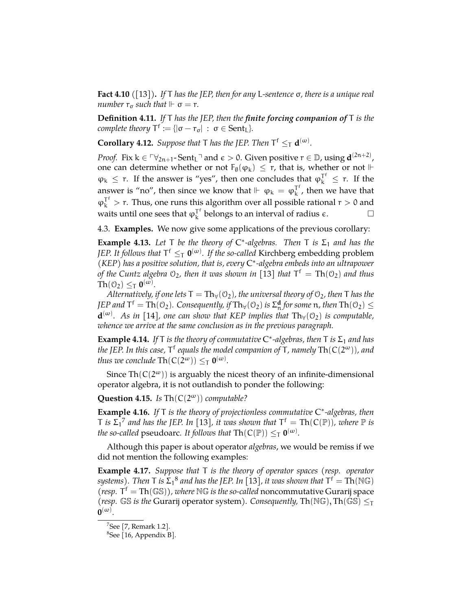**Fact 4.10** ([\[13\]](#page-16-12))**.** *If* T *has the JEP, then for any* L*-sentence* σ*, there is a unique real number*  $r_{\sigma}$  *such that*  $\mathbb{F} \sigma = r$ *.* 

**Definition 4.11.** *If* T *has the JEP, then the finite forcing companion of* T *is the complete theory*  $T^f := \{ |\sigma - r_\sigma| : \sigma \in \text{Sent}_L \}.$ 

**Corollary 4.12.** *Suppose that* T *has the JEP. Then*  $T^f \leq_T \mathbf{d}^{(\omega)}$ *.* 

*Proof.* Fix  $k \in \forall_{2n+1}$ - Sent<sub>L</sub> $\exists$  and  $\epsilon > 0$ . Given positive  $r \in \mathbb{D}$ , using  $\mathbf{d}^{(2n+2)}$ , one can determine whether or not  $F_{\emptyset}(\varphi_k) \leq r$ , that is, whether or not  $\Vdash$  $\varphi_k \leq r$ . If the answer is "yes", then one concludes that  $\varphi_k^{T^f} \leq r$ . If the answer is "no", then since we know that  $\Vdash \varphi_k = \varphi_k^{\mathsf{T}^{\mathsf{T}}}$  $\mathbf{k}^{\top}$ , then we have that  $\varphi_k^{T^f} > r$ . Thus, one runs this algorithm over all possible rational  $r > 0$  and waits until one sees that  $\varphi_k^{T^f}$  $k_{\rm k}^{\rm Tf}$  belongs to an interval of radius  $\epsilon$ .

4.3. **Examples.** We now give some applications of the previous corollary:

**Example 4.13.** Let T be the theory of  $C^*$ -algebras. Then T is  $\Sigma_1$  and has the JEP. It follows that  $\mathsf{T}^{\mathsf{f}} \leq_{\mathsf{T}} \mathsf{0}^{(\omega)}$ . If the so-called Kirchberg embedding problem *(KEP) has a positive solution, that is, every* C ∗ *-algebra embeds into an ultrapower* of the Cuntz algebra  $\mathcal{O}_2$ , then it was shown in [\[13\]](#page-16-12) that  $\mathsf{T}^{\mathsf{f}}=\mathsf{Th}(\mathcal{O}_2)$  and thus  $\text{Th}(\mathcal{O}_2) \leq_{\text{T}} \mathbf{0}^{(\omega)}.$ 

*Alternatively, if one lets*  $T = Th_v(0_2)$ *, the universal theory of*  $0_2$ *, then* T *has the JEP and*  $T^f = Th(O_2)$ *. Consequently, if*  $Th_\forall (O_2)$  *is*  $\Sigma^\mathbf{d}_n$  *for some*  $n$ *, then*  $Th(O_2) \leq$  $\mathbf{d}^{(\omega)}$ . As in [\[14\]](#page-16-10), one can show that KEP implies that Th<sub>∀</sub>(O<sub>2</sub>) is computable, *whence we arrive at the same conclusion as in the previous paragraph.*

**Example 4.14.** If T is the theory of commutative  $C^*$ -algebras, then T is  $\Sigma_1$  and has *the JEP. In this case,* T f *equals the model companion of* T*, namely* Th(C(2 <sup>ω</sup>))*, and thus we conclude*  $\text{Th}(C(2^{\omega})) \leq_T 0^{(\omega)}$ *.* 

Since  $\text{Th}(C(2^{\omega}))$  is arguably the nicest theory of an infinite-dimensional operator algebra, it is not outlandish to ponder the following:

**Question 4.15.** *Is* Th(C(2 <sup>ω</sup>)) *computable?*

**Example 4.16.** *If* T *is the theory of projectionless commutative* C ∗ *-algebras, then* T is  $\Sigma_1^7$  $\Sigma_1^7$  and has the JEP. In [\[13\]](#page-16-12), it was shown that  $T^f = Th(C(\mathbb{P}))$ , where  $\mathbb P$  is *the so-called* pseudoarc. *It follows that*  $\text{Th}(\text{C}(\mathbb{P})) \leq_{\text{T}} \mathbf{0}^{(\omega)}$ *.* 

Although this paper is about operator *algebras*, we would be remiss if we did not mention the following examples:

**Example 4.17.** *Suppose that* T *is the theory of operator spaces (resp. operator*  $s$ ystems). Then T is  $\Sigma_1{}^8$  $\Sigma_1{}^8$  and has the JEP. In [\[13\]](#page-16-12), it was shown that  $\mathsf{T}^{\mathsf{f}} = \mathsf{Th}(\mathbb{N}\mathbb{G})$ *(resp.* T <sup>f</sup> = Th(GS)*), where* NG *is the so-called* noncommutative Gurarij space *(resp.* GS *is the* Gurarij operator system). Consequently,  $Th(NG)$ ,  $Th(GS) \leq_T$  $\mathbf{0}^{(\omega)}$ .

<span id="page-12-0"></span> $7$ See [\[7,](#page-16-13) Remark 1.2].

<span id="page-12-1"></span><sup>8</sup> See [\[16,](#page-16-14) Appendix B].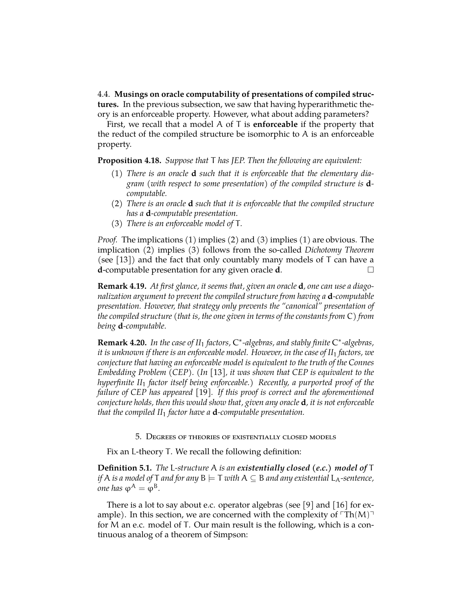4.4. **Musings on oracle computability of presentations of compiled structures.** In the previous subsection, we saw that having hyperarithmetic theory is an enforceable property. However, what about adding parameters?

First, we recall that a model A of T is **enforceable** if the property that the reduct of the compiled structure be isomorphic to A is an enforceable property.

**Proposition 4.18.** *Suppose that* T *has JEP. Then the following are equivalent:*

- (1) *There is an oracle* **d** *such that it is enforceable that the elementary diagram (with respect to some presentation) of the compiled structure is* **d***computable.*
- (2) *There is an oracle* **d** *such that it is enforceable that the compiled structure has a* **d***-computable presentation.*
- (3) *There is an enforceable model of* T*.*

*Proof.* The implications (1) implies (2) and (3) implies (1) are obvious. The implication (2) implies (3) follows from the so-called *Dichotomy Theorem* (see [\[13\]](#page-16-12)) and the fact that only countably many models of T can have a **d**-computable presentation for any given oracle **d**.

**Remark 4.19.** *At first glance, it seems that, given an oracle* **d***, one can use a diagonalization argument to prevent the compiled structure from having a* **d***-computable presentation. However, that strategy only prevents the "canonical" presentation of the compiled structure (that is, the one given in terms of the constants from* C*) from being* **d***-computable.*

**Remark 4.20.** *In the case of II*<sup>1</sup> *factors,* C ∗ *-algebras, and stably finite* C ∗ *-algebras, it is unknown if there is an enforceable model. However, in the case of II*1 *factors, we conjecture that having an enforceable model is equivalent to the truth of the Connes Embedding Problem (CEP). (In* [\[13\]](#page-16-12)*, it was shown that CEP is equivalent to the hyperfinite II*1 *factor itself being enforceable.) Recently, a purported proof of the failure of CEP has appeared* [\[19\]](#page-16-15)*. If this proof is correct and the aforementioned conjecture holds, then this would show that, given any oracle* **d***, it is not enforceable that the compiled II*<sup>1</sup> *factor have a* **d***-computable presentation.*

5. Degrees of theories of existentially closed models

Fix an L-theory T. We recall the following definition:

**Definition 5.1.** *The* L*-structure* A *is an existentially closed (e.c.) model of* T *if* A *is a model of* T *and for any*  $B \models T$  *with*  $A \subseteq B$  *and any existential*  $L_A$ -sentence, *one has*  $\varphi^A = \varphi^B$ .

There is a lot to say about e.c. operator algebras (see [\[9\]](#page-16-16) and [\[16\]](#page-16-14) for example). In this section, we are concerned with the complexity of  $\ulcorner Th(M)\urcorner$ for M an e.c. model of T. Our main result is the following, which is a continuous analog of a theorem of Simpson: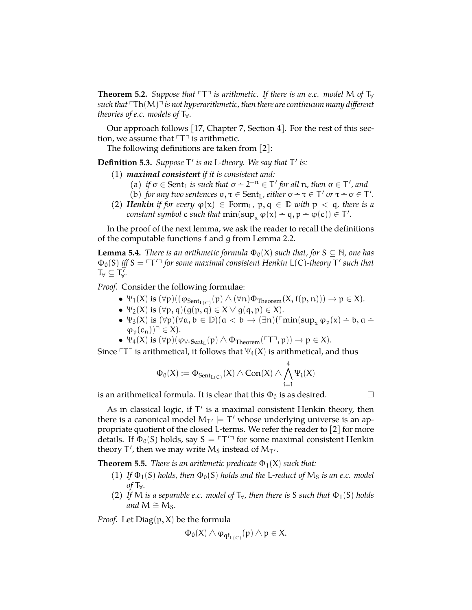<span id="page-14-0"></span>**Theorem 5.2.** *Suppose that*  $\Gamma\Gamma$  *is arithmetic. If there is an e.c. model* M *of*  $T_\forall$ *such that*  $\Gamma$ Th(M) $\Gamma$  *is not hyperarithmetic, then there are continuum many different theories of e.c. models of*  $T_{\forall}$ *.* 

Our approach follows [\[17,](#page-16-3) Chapter 7, Section 4]. For the rest of this section, we assume that  $TT\bar{q}$  is arithmetic.

The following definitions are taken from [\[2\]](#page-16-7):

**Definition 5.3.** Suppose T' is an L-theory. We say that T' is:

- (1) *maximal consistent if it is consistent and:*
	- (a) *if*  $\sigma \in \text{Sent}_L$  *is such that*  $\sigma 2^{-n} \in T'$  *for all*  $n$ *, then*  $\sigma \in T'$ *, and* (b) *for any two sentences*  $\sigma, \tau \in \text{Sent}_L$ *, either*  $\sigma - \tau \in \text{T}'$  *or*  $\tau - \sigma \in \text{T}'$ *.*
- (2) *Henkin if for every*  $\varphi(x) \in \text{Form}_L$ ,  $p, q \in \mathbb{D}$  *with*  $p < q$ , *there is a constant symbol* c *such that*  $min(sup_x \varphi(x) - q, p - \varphi(c)) \in T'.$

In the proof of the next lemma, we ask the reader to recall the definitions of the computable functions f and g from Lemma [2.2.](#page-4-0)

**Lemma 5.4.** *There is an arithmetic formula*  $\Phi_0(X)$  *such that, for*  $S \subseteq \mathbb{N}$ *, one has*  $\Phi_0(S)$  *iff*  $S = \top T'^{\top}$  for some maximal consistent Henkin L(C)-theory  $T'$  such that T<sup>∀</sup> ⊆ T 0 ∀ *.*

*Proof.* Consider the following formulae:

- $\Psi_1(X)$  is  $(\forall p)((\varphi_{\text{Sent}_{L(C)}}(p) \wedge (\forall n)\Phi_{\text{Theorem}}(X, f(p, n))) \rightarrow p \in X).$
- $\Psi_2(X)$  is  $(\forall p, q)(g(p, q) \in X \vee g(q, p) \in X)$ .
- $\Psi_3(X)$  is  $(\forall p)(\forall a, b \in \mathbb{D})(a < b \rightarrow (\exists n)(\ulcorner \min(\sup_{x} \varphi_p(x) b, a a))$  $\varphi_p(c_n)$ <sup> $\exists \in X$ </sup>).
- $\cdot \Psi_4(X)$  is  $(\forall p)(\varphi_{\forall}\text{-Sent}_L(p) \wedge \Phi_{\text{Theorem}}(\ulcorner T \urcorner, p)) \to p \in X$ .

Since  $TT$  is arithmetical, it follows that  $\Psi_4(X)$  is arithmetical, and thus

$$
\Phi_0(X):=\Phi_{Sent_{L(C)}}(X)\wedge Con(X)\wedge \bigwedge_{i=1}^4\Psi_i(X)
$$

is an arithmetical formula. It is clear that this  $\Phi_0$  is as desired.  $\Box$ 

As in classical logic, if  $T'$  is a maximal consistent Henkin theory, then there is a canonical model  $M_{T'} \models T'$  whose underlying universe is an appropriate quotient of the closed L-terms. We refer the reader to [\[2\]](#page-16-7) for more details. If  $\Phi_0(S)$  holds, say  $S = \Gamma T'^{\top}$  for some maximal consistent Henkin theory T', then we may write  $M_S$  instead of  $M_{T'}$ .

**Theorem 5.5.** *There is an arithmetic predicate*  $\Phi_1(X)$  *such that:* 

- (1) *If*  $\Phi_1(S)$  *holds, then*  $\Phi_0(S)$  *holds and the* L-reduct of M<sub>S</sub> *is an e.c. model of* T<sub>∀</sub>.
- (2) If M is a separable e.c. model of  $T_v$ , then there is S such that  $\Phi_1(S)$  holds *and*  $M \cong M_S$ .

*Proof.* Let  $Diag(p, X)$  be the formula

$$
\Phi_0(X)\wedge \phi_{qf_{L(C)}}(\mathfrak{p})\wedge \mathfrak{p}\in X.
$$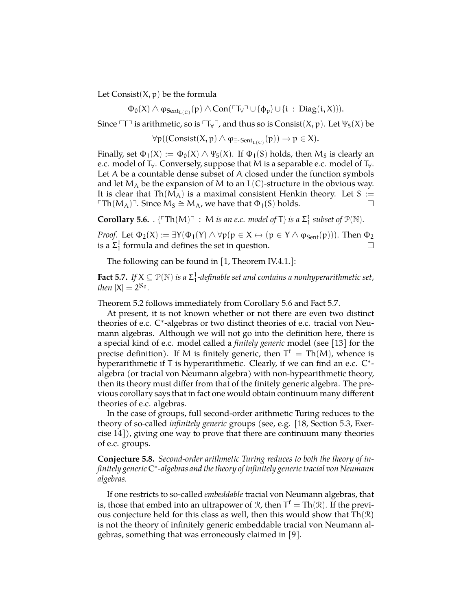Let Consist $(X, p)$  be the formula

 $\Phi_0(X) \wedge \phi_{\text{Sent}_{L(C)}}(\mathfrak{p}) \wedge \text{Con}(\ulcorner \mathsf{T}_{\forall} \urcorner \cup \{\phi_{\mathfrak{p}}\} \cup \{\mathfrak{i} \: : \: \text{Diag}(\mathfrak{i}, X)\}).$ 

Since  $\ulcorner\top\urcorner$  is arithmetic, so is  $\ulcorner\top_{\forall}\urcorner$ , and thus so is Consist(X, p). Let  $\Psi_5(X)$  be

 $\forall \mathfrak{p}((\text{Consist}(X, \mathfrak{p}) \land \varphi_{\exists\text{-}Sent_{L(C)}}(\mathfrak{p})) \to \mathfrak{p} \in X).$ 

Finally, set  $\Phi_1(X) := \Phi_0(X) \wedge \Psi_5(X)$ . If  $\Phi_1(S)$  holds, then M<sub>S</sub> is clearly an e.c. model of T $_{\forall}$ . Conversely, suppose that M is a separable e.c. model of T $_{\forall}$ . Let A be a countable dense subset of A closed under the function symbols and let  $M_A$  be the expansion of M to an  $L(C)$ -structure in the obvious way. It is clear that  $Th(M_A)$  is a maximal consistent Henkin theory. Let S :=  $\Gamma$ Th( $M_A$ ) $\Gamma$ . Since  $M_S \cong M_A$ , we have that  $\Phi_1(S)$  holds.  $\Box$ 

<span id="page-15-0"></span>**Corollary 5.6.**  $\{ \lceil \text{Th}(M) \rceil : M \text{ is an } e.c. \text{ model of } T \} \text{ is a } \Sigma_1^1 \text{ subset of } \mathcal{P}(\mathbb{N}).$ 

*Proof.* Let  $\Phi_2(X) := \exists Y(\Phi_1(Y) \land \forall p(p \in X \leftrightarrow (p \in Y \land \varphi_{Sent}(p)))$ . Then  $\Phi_2$  is a  $\Sigma_1^1$  formula and defines the set in question. is a  $\Sigma_1^1$  formula and defines the set in question.

The following can be found in [\[1,](#page-16-17) Theorem IV.4.1.]:

<span id="page-15-1"></span>**Fact 5.7.** If  $X \subseteq \mathcal{P}(\mathbb{N})$  is a  $\Sigma_1^1$ -definable set and contains a nonhyperarithmetic set, *then*  $|X| = 2^{\aleph_0}$ .

Theorem [5.2](#page-14-0) follows immediately from Corollary [5.6](#page-15-0) and Fact [5.7.](#page-15-1)

At present, it is not known whether or not there are even two distinct theories of e.c. C\*-algebras or two distinct theories of e.c. tracial von Neumann algebras. Although we will not go into the definition here, there is a special kind of e.c. model called a *finitely generic* model (see [\[13\]](#page-16-12) for the precise definition). If M is finitely generic, then  $T^f = Th(M)$ , whence is hyperarithmetic if T is hyperarithmetic. Clearly, if we can find an e.c. C ∗ algebra (or tracial von Neumann algebra) with non-hypearithmetic theory, then its theory must differ from that of the finitely generic algebra. The previous corollary says that in fact one would obtain continuum many different theories of e.c. algebras.

In the case of groups, full second-order arithmetic Turing reduces to the theory of so-called *infinitely generic* groups (see, e.g. [\[18,](#page-16-18) Section 5.3, Exercise 14]), giving one way to prove that there are continuum many theories of e.c. groups.

**Conjecture 5.8.** *Second-order arithmetic Turing reduces to both the theory of infinitely generic* C ∗ *-algebras and the theory of infinitely generic tracial von Neumann algebras.*

If one restricts to so-called *embeddable* tracial von Neumann algebras, that is, those that embed into an ultrapower of  $\mathcal{R}$ , then  $T^f = Th(\mathcal{R})$ . If the previous conjecture held for this class as well, then this would show that  $Th(\mathcal{R})$ is not the theory of infinitely generic embeddable tracial von Neumann algebras, something that was erroneously claimed in [\[9\]](#page-16-16).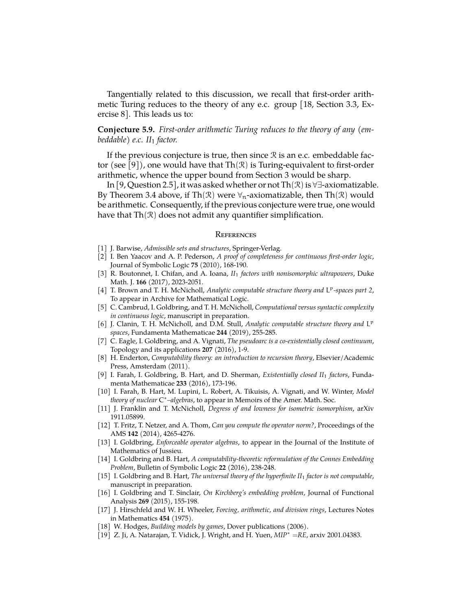Tangentially related to this discussion, we recall that first-order arithmetic Turing reduces to the theory of any e.c. group [\[18,](#page-16-18) Section 3.3, Exercise 8]. This leads us to:

**Conjecture 5.9.** *First-order arithmetic Turing reduces to the theory of any (embeddable) e.c. II*1 *factor.*

If the previous conjecture is true, then since  $\Re$  is an e.c. embeddable fac-tor (see [\[9\]](#page-16-16)), one would have that  $Th(\mathcal{R})$  is Turing-equivalent to first-order arithmetic, whence the upper bound from Section 3 would be sharp.

In [\[9,](#page-16-16) Question 2.5], it was asked whether or not Th $(\mathcal{R})$  is  $\forall \exists$ -axiomatizable. By Theorem [3.4](#page-7-2) above, if Th( $\mathcal{R}$ ) were  $\forall$ <sub>n</sub>-axiomatizable, then Th( $\mathcal{R}$ ) would be arithmetic. Consequently, if the previous conjecture were true, one would have that  $Th(\mathcal{R})$  does not admit any quantifier simplification.

#### **REFERENCES**

- <span id="page-16-17"></span>[1] J. Barwise, *Admissible sets and structures*, Springer-Verlag.
- <span id="page-16-7"></span>[2] I. Ben Yaacov and A. P. Pederson, *A proof of completeness for continuous first-order logic*, Journal of Symbolic Logic **75** (2010), 168-190.
- <span id="page-16-0"></span>[3] R. Boutonnet, I. Chifan, and A. Ioana, *II*<sup>1</sup> *factors with nonisomorphic ultrapowers*, Duke Math. J. **166** (2017), 2023-2051.
- <span id="page-16-8"></span>[4] T. Brown and T. H. McNicholl, *Analytic computable structure theory and* L p *-spaces part 2*, To appear in Archive for Mathematical Logic.
- <span id="page-16-1"></span>[5] C. Cambrud, I. Goldbring, and T. H. McNicholl, *Computational versus syntactic complexity in continuous logic*, manuscript in preparation.
- <span id="page-16-9"></span>[6] J. Clanin, T. H. McNicholl, and D.M. Stull, *Analytic computable structure theory and* L p *spaces*, Fundamenta Mathematicae **244** (2019), 255-285.
- <span id="page-16-13"></span>[7] C. Eagle, I. Goldbring, and A. Vignati, *The pseudoarc is a co-existentially closed continuum*, Topology and its applications **207** (2016), 1-9.
- <span id="page-16-5"></span>[8] H. Enderton, *Computability theory: an introduction to recursion theory*, Elsevier/Academic Press, Amsterdam (2011).
- <span id="page-16-16"></span>[9] I. Farah, I. Goldbring, B. Hart, and D. Sherman, *Existentially closed II*<sup>1</sup> *factors*, Fundamenta Mathematicae **233** (2016), 173-196.
- <span id="page-16-4"></span>[10] I. Farah, B. Hart, M. Lupini, L. Robert, A. Tikuisis, A. Vignati, and W. Winter, *Model theory of nuclear* C ∗ *–algebras*, to appear in Memoirs of the Amer. Math. Soc.
- <span id="page-16-6"></span>[11] J. Franklin and T. McNicholl, *Degress of and lowness for isometric isomorphism*, arXiv 1911.05899.
- <span id="page-16-2"></span>[12] T. Fritz, T. Netzer, and A. Thom, *Can you compute the operator norm?*, Proceedings of the AMS **142** (2014), 4265-4276.
- <span id="page-16-12"></span>[13] I. Goldbring, *Enforceable operator algebras*, to appear in the Journal of the Institute of Mathematics of Jussieu.
- <span id="page-16-10"></span>[14] I. Goldbring and B. Hart, *A computability-theoretic reformulation of the Connes Embedding Problem*, Bulletin of Symbolic Logic **22** (2016), 238-248.
- <span id="page-16-11"></span>[15] I. Goldbring and B. Hart, *The universal theory of the hyperfinite II*<sup>1</sup> *factor is not computable*, manuscript in preparation.
- <span id="page-16-14"></span>[16] I. Goldbring and T. Sinclair, *On Kirchberg's embedding problem*, Journal of Functional Analysis **269** (2015), 155-198.
- <span id="page-16-3"></span>[17] J. Hirschfeld and W. H. Wheeler, *Forcing, arithmetic, and division rings*, Lectures Notes in Mathematics **454** (1975).
- <span id="page-16-18"></span>[18] W. Hodges, *Building models by games*, Dover publications (2006).
- <span id="page-16-15"></span>[19] Z. Ji, A. Natarajan, T. Vidick, J. Wright, and H. Yuen, *MIP*<sup>∗</sup> =*RE*, arxiv 2001.04383.